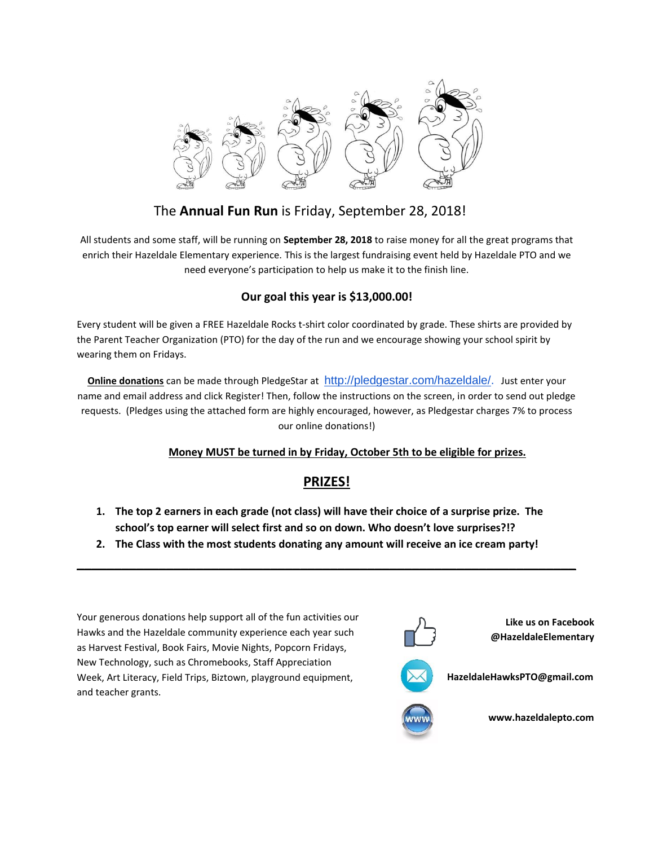

## The **Annual Fun Run** is Friday, September 28, 2018!

All students and some staff, will be running on **September 28, 2018** to raise money for all the great programs that enrich their Hazeldale Elementary experience. This is the largest fundraising event held by Hazeldale PTO and we need everyone's participation to help us make it to the finish line.

### **Our goal this year is \$13,000.00!**

Every student will be given a FREE Hazeldale Rocks t-shirt color coordinated by grade. These shirts are provided by the Parent Teacher Organization (PTO) for the day of the run and we encourage showing your school spirit by wearing them on Fridays.

**Online donations** can be made through PledgeStar at [http://pledgestar.com/hazeldale/.](http://pledgestar.com/hazeldale/) Just enter your name and email address and click Register! Then, follow the instructions on the screen, in order to send out pledge requests. (Pledges using the attached form are highly encouraged, however, as Pledgestar charges 7% to process our online donations!)

#### **Money MUST be turned in by Friday, October 5th to be eligible for prizes.**

## **PRIZES!**

- **1. The top 2 earners in each grade (not class) will have their choice of a surprise prize. The school's top earner will select first and so on down. Who doesn't love surprises?!?**
- **2. The Class with the most students donating any amount will receive an ice cream party!**

**\_\_\_\_\_\_\_\_\_\_\_\_\_\_\_\_\_\_\_\_\_\_\_\_\_\_\_\_\_\_\_\_\_\_\_\_\_\_\_\_\_\_\_\_\_\_\_\_\_\_\_\_\_\_\_\_\_\_\_\_\_\_\_\_\_\_\_**

Your generous donations help support all of the fun activities our Hawks and the Hazeldale community experience each year such as Harvest Festival, Book Fairs, Movie Nights, Popcorn Fridays, New Technology, such as Chromebooks, Staff Appreciation Week, Art Literacy, Field Trips, Biztown, playground equipment, and teacher grants.



**Like us on Facebook @HazeldaleElementary**



**HazeldaleHawksPTO@gmail.com**



**www.hazeldalepto.com**